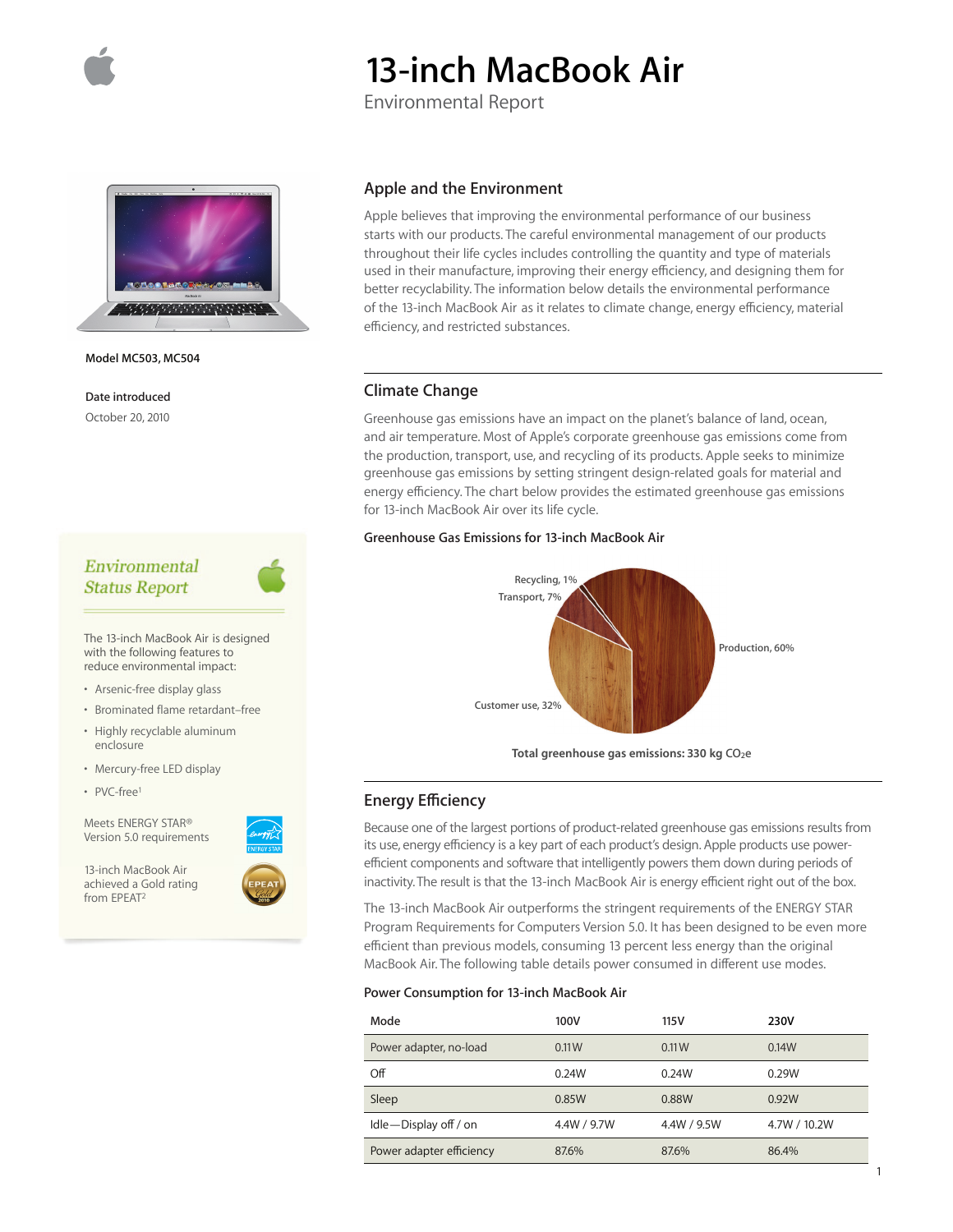

# **13-inch MacBook Air**

Environmental Report



**Model MC503, MC504**

**Date introduced** October 20, 2010

# Environmental **Status Report**

The 13-inch MacBook Air is designed with the following features to reduce environmental impact:

- Arsenic-free display glass
- Brominated flame retardant–free
- Highly recyclable aluminum enclosure
- Mercury-free LED display
- PVC-free1

Meets ENERGY STAR® Version 5.0 requirements

13-inch MacBook Air achieved a Gold rating from EPEAT2



Apple believes that improving the environmental performance of our business starts with our products. The careful environmental management of our products throughout their life cycles includes controlling the quantity and type of materials used in their manufacture, improving their energy efficiency, and designing them for better recyclability. The information below details the environmental performance of the 13-inch MacBook Air as it relates to climate change, energy efficiency, material efficiency, and restricted substances.

# **Climate Change**

Greenhouse gas emissions have an impact on the planet's balance of land, ocean, and air temperature. Most of Apple's corporate greenhouse gas emissions come from the production, transport, use, and recycling of its products. Apple seeks to minimize greenhouse gas emissions by setting stringent design-related goals for material and energy efficiency. The chart below provides the estimated greenhouse gas emissions for 13-inch MacBook Air over its life cycle.

#### **Greenhouse Gas Emissions for 13-inch MacBook Air**



**Total greenhouse gas emissions: 330 kg CO2e**

# **Energy Efficiency**

Because one of the largest portions of product-related greenhouse gas emissions results from its use, energy efficiency is a key part of each product's design. Apple products use powerefficient components and software that intelligently powers them down during periods of inactivity. The result is that the 13-inch MacBook Air is energy efficient right out of the box.

The 13-inch MacBook Air outperforms the stringent requirements of the ENERGY STAR Program Requirements for Computers Version 5.0. It has been designed to be even more efficient than previous models, consuming 13 percent less energy than the original MacBook Air. The following table details power consumed in different use modes.

#### **Power Consumption for 13-inch MacBook Air**

| Mode                     | 100V        | 115 V       | <b>230V</b>  |
|--------------------------|-------------|-------------|--------------|
| Power adapter, no-load   | 0.11W       | 0.11W       | 0.14W        |
| Off                      | 0.24W       | 0.24W       | 0.29W        |
| Sleep                    | 0.85W       | 0.88W       | 0.92W        |
| Idle-Display off / on    | 4.4W / 9.7W | 4.4W / 9.5W | 4.7W / 10.2W |
| Power adapter efficiency | 87.6%       | 87.6%       | 86.4%        |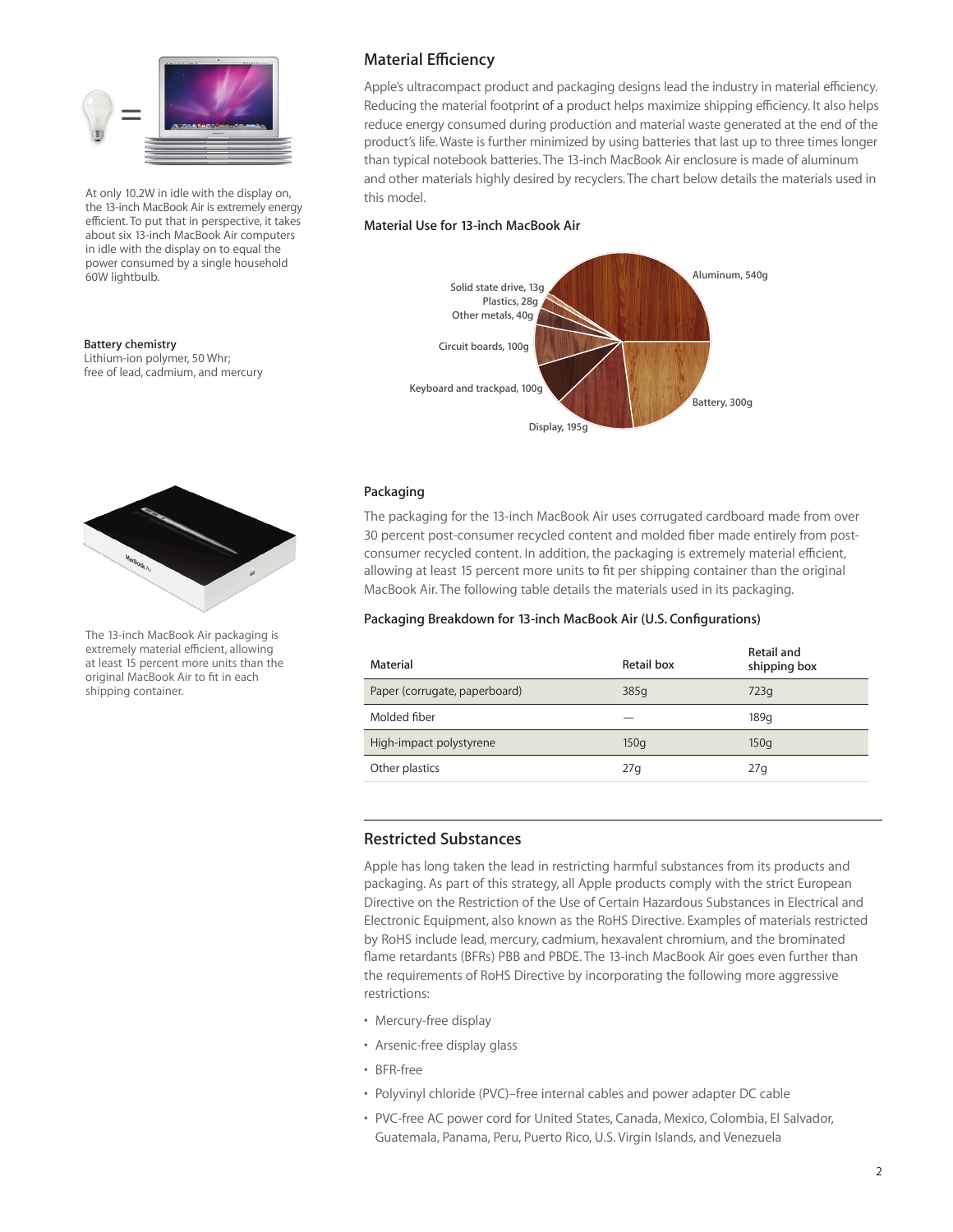

At only 10.2W in idle with the display on, the 13-inch MacBook Air is extremely energy efficient. To put that in perspective, it takes about six 13-inch MacBook Air computers in idle with the display on to equal the power consumed by a single household 60W lightbulb.

#### **Battery chemistry**

Lithium-ion polymer, 50 Whr; free of lead, cadmium, and mercury



The 13-inch MacBook Air packaging is extremely material efficient, allowing at least 15 percent more units than the original MacBook Air to fit in each shipping container.

# **Material Efficiency**

Apple's ultracompact product and packaging designs lead the industry in material efficiency. Reducing the material footprint of a product helps maximize shipping efficiency. It also helps reduce energy consumed during production and material waste generated at the end of the product's life. Waste is further minimized by using batteries that last up to three times longer than typical notebook batteries. The 13-inch MacBook Air enclosure is made of aluminum and other materials highly desired by recyclers. The chart below details the materials used in this model.

## **Material Use for 13-inch MacBook Air**



## **Packaging**

The packaging for the 13-inch MacBook Air uses corrugated cardboard made from over 30 percent post-consumer recycled content and molded fiber made entirely from postconsumer recycled content. In addition, the packaging is extremely material efficient, allowing at least 15 percent more units to fit per shipping container than the original MacBook Air. The following table details the materials used in its packaging.

## **Packaging Breakdown for 13-inch MacBook Air (U.S. Configurations)**

| Material                      | Retail box | Retail and<br>shipping box |
|-------------------------------|------------|----------------------------|
| Paper (corrugate, paperboard) | 385g       | 723q                       |
| Molded fiber                  |            | 189q                       |
| High-impact polystyrene       | 150q       | 150q                       |
| Other plastics                | 27q        | 27q                        |

# **Restricted Substances**

Apple has long taken the lead in restricting harmful substances from its products and packaging. As part of this strategy, all Apple products comply with the strict European Directive on the Restriction of the Use of Certain Hazardous Substances in Electrical and Electronic Equipment, also known as the RoHS Directive. Examples of materials restricted by RoHS include lead, mercury, cadmium, hexavalent chromium, and the brominated flame retardants (BFRs) PBB and PBDE. The 13-inch MacBook Air goes even further than the requirements of RoHS Directive by incorporating the following more aggressive restrictions:

- Mercury-free display
- Arsenic-free display glass
- BFR-free
- Polyvinyl chloride (PVC)–free internal cables and power adapter DC cable
- PVC-free AC power cord for United States, Canada, Mexico, Colombia, El Salvador, Guatemala, Panama, Peru, Puerto Rico, U.S. Virgin Islands, and Venezuela